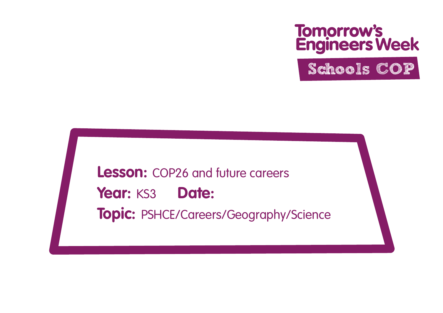# **Tomorrow's<br>Engineers Week**

Schools COP

**Lesson:** COP26 and future careers Year: KS3 Date: **Topic:** PSHCE/Careers/Geography/Science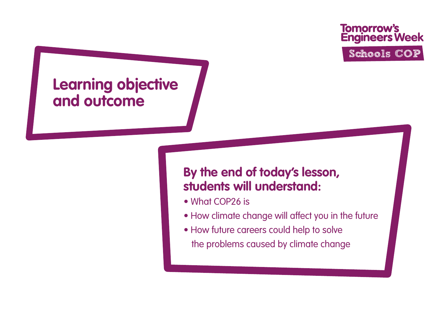### **Learning objective and outcome**

#### **By the end of today's lesson, students will understand:**

- What COP26 is
- How climate change will affect you in the future
- How future careers could help to solve the problems caused by climate change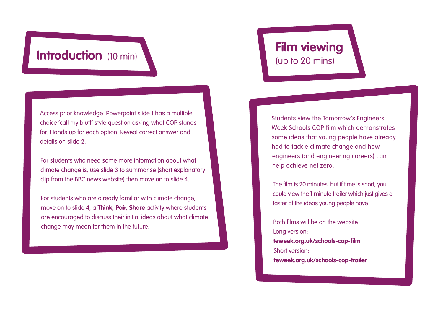#### **Introduction** (10 min)

Access prior knowledge: Powerpoint slide 1 has a multiple choice 'call my bluff' style question asking what COP stands for. Hands up for each option. Reveal correct answer and details on slide 2.

For students who need some more information about what climate change is, use slide 3 to summarise (short explanatory clip from the BBC news website) then move on to slide 4.

For students who are already familiar with climate change, move on to slide 4, a **Think, Pair, Share** activity where students are encouraged to discuss their initial ideas about what climate change may mean for them in the future.

#### **Film viewing**  (up to 20 mins)

Students view the Tomorrow's Engineers Week Schools COP film which demonstrates some ideas that young people have already had to tackle climate change and how engineers (and engineering careers) can help achieve net zero.

The film is 20 minutes, but if time is short, you could view the 1 minute trailer which just gives a taster of the ideas young people have.

Both films will be on the website. Long version: **[teweek.org.uk/schools-cop-film](http://teweek.org.uk/schools-cop-film)** Short version: **[teweek.org.uk/schools-cop-trailer](http://teweek.org.uk/schools-cop-trailer)**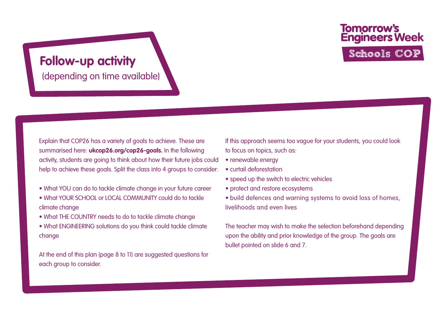#### **Follow-up activity**

(depending on time available)

Explain that COP26 has a variety of goals to achieve. These are summarised here: **[ukcop26.org/cop26-goals.](http://ukcop26.org/cop26-goals)** In the following activity, students are going to think about how their future jobs could help to achieve these goals. Split the class into 4 groups to consider:

- What YOU can do to tackle climate change in your future career
- What YOUR SCHOOL or LOCAL COMMUNITY could do to tackle climate change
- What THE COUNTRY needs to do to tackle climate change
- What ENGINEERING solutions do you think could tackle climate change

At the end of this plan (page 8 to 11) are suggested questions for each group to consider.

If this approach seems too vague for your students, you could look to focus on topics, such as:

- renewable energy
- curtail deforestation
- speed up the switch to electric vehicles
- protect and restore ecosystems
- build defences and warning systems to avoid loss of homes, livelihoods and even lives

The teacher may wish to make the selection beforehand depending upon the ability and prior knowledge of the group. The goals are bullet pointed on slide 6 and 7.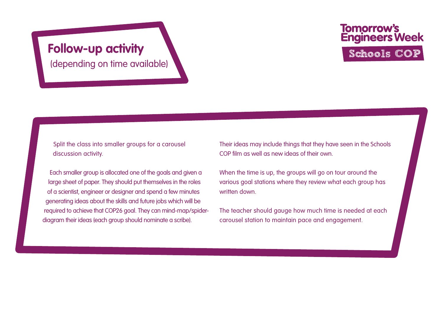(depending on time available)

## **Tomorrow's<br>Engineers Week** Follow-up activity **Schools** COP

Split the class into smaller groups for a carousel discussion activity.

Each smaller group is allocated one of the goals and given a large sheet of paper. They should put themselves in the roles of a scientist, engineer or designer and spend a few minutes generating ideas about the skills and future jobs which will be required to achieve that COP26 goal. They can mind-map/spiderdiagram their ideas (each group should nominate a scribe).

Their ideas may include things that they have seen in the Schools COP film as well as new ideas of their own.

When the time is up, the groups will go on tour around the various goal stations where they review what each group has written down

The teacher should gauge how much time is needed at each carousel station to maintain pace and engagement.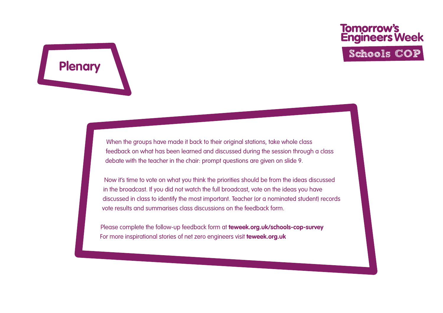When the groups have made it back to their original stations, take whole class feedback on what has been learned and discussed during the session through a class debate with the teacher in the chair: prompt questions are given on slide 9.

**Plenary**

Now it's time to vote on what you think the priorities should be from the ideas discussed in the broadcast. If you did not watch the full broadcast, vote on the ideas you have discussed in class to identify the most important. Teacher (or a nominated student) records vote results and summarises class discussions on the feedback form.

Please complete the follow-up feedback form at **[teweek.org.uk/schools-cop-survey](http://teweek.org.uk/schools-cop-survey)** For more inspirational stories of net zero engineers visit **[teweek.org.uk](http://teweek.org.uk)**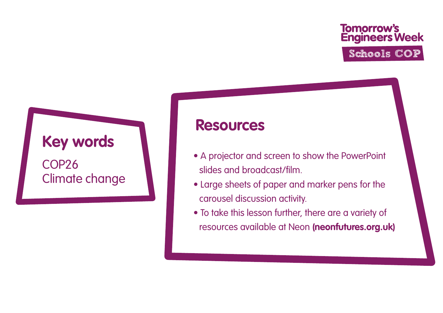#### **Key words**

COP26 Climate change

#### **Resources**

- A projector and screen to show the PowerPoint slides and broadcast/film.
- Large sheets of paper and marker pens for the carousel discussion activity.
- To take this lesson further, there are a variety of resources available at Neon **[\(neonfutures.org.uk\)](http://neonfutures.org.uk)**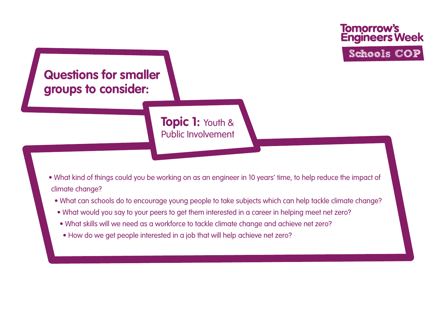

- What kind of things could you be working on as an engineer in 10 years' time, to help reduce the impact of climate change?
	- What can schools do to encourage young people to take subjects which can help tackle climate change?
	- What would you say to your peers to get them interested in a career in helping meet net zero?
	- What skills will we need as a workforce to tackle climate change and achieve net zero?
	- How do we get people interested in a job that will help achieve net zero?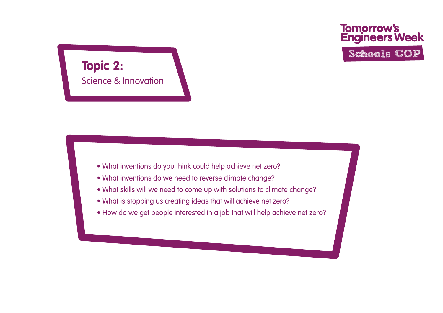

- What inventions do you think could help achieve net zero?
- What inventions do we need to reverse climate change?
- What skills will we need to come up with solutions to climate change?
- What is stopping us creating ideas that will achieve net zero?
- How do we get people interested in a job that will help achieve net zero?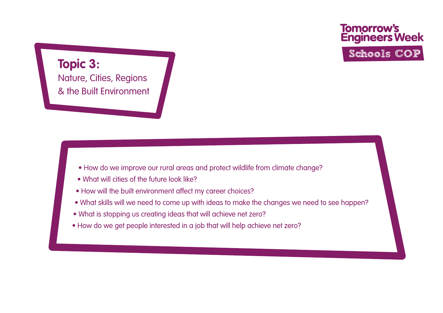**Topic 3:**  Nature, Cities, Regions & the Built Environment

- How do we improve our rural areas and protect wildlife from climate change?
- What will cities of the future look like?
- How will the built environment affect my career choices?
- What skills will we need to come up with ideas to make the changes we need to see happen?
- What is stopping us creating ideas that will achieve net zero?
- How do we get people interested in a job that will help achieve net zero?